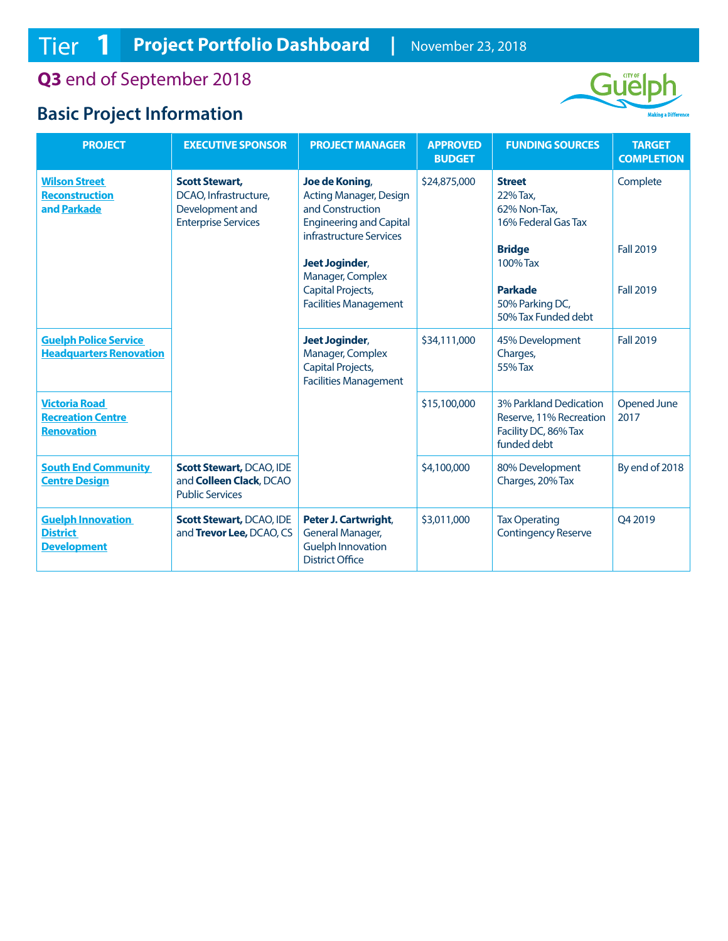**Q3** end of September 2018

## **Basic Project Information**



| <b>PROJECT</b>                                                        | <b>EXECUTIVE SPONSOR</b>                                                                        | <b>PROJECT MANAGER</b>                                                                                                           | <b>APPROVED</b><br><b>BUDGET</b> | <b>FUNDING SOURCES</b>                                                                   | <b>TARGET</b><br><b>COMPLETION</b>   |
|-----------------------------------------------------------------------|-------------------------------------------------------------------------------------------------|----------------------------------------------------------------------------------------------------------------------------------|----------------------------------|------------------------------------------------------------------------------------------|--------------------------------------|
| <b>Wilson Street</b><br><b>Reconstruction</b><br>and Parkade          | <b>Scott Stewart,</b><br>DCAO, Infrastructure,<br>Development and<br><b>Enterprise Services</b> | Joe de Koning,<br><b>Acting Manager, Design</b><br>and Construction<br><b>Engineering and Capital</b><br>infrastructure Services | \$24,875,000                     | <b>Street</b><br>22% Tax.<br>62% Non-Tax,<br>16% Federal Gas Tax                         | Complete                             |
|                                                                       |                                                                                                 | <b>Jeet Joginder,</b><br>Manager, Complex<br>Capital Projects,<br><b>Facilities Management</b>                                   |                                  | <b>Bridge</b><br>100% Tax<br><b>Parkade</b><br>50% Parking DC,<br>50% Tax Funded debt    | <b>Fall 2019</b><br><b>Fall 2019</b> |
| <b>Guelph Police Service</b><br><b>Headquarters Renovation</b>        |                                                                                                 | <b>Jeet Joginder,</b><br>Manager, Complex<br>Capital Projects,<br><b>Facilities Management</b>                                   | \$34,111,000                     | 45% Development<br>Charges,<br>55% Tax                                                   | <b>Fall 2019</b>                     |
| <b>Victoria Road</b><br><b>Recreation Centre</b><br><b>Renovation</b> |                                                                                                 |                                                                                                                                  | \$15,100,000                     | 3% Parkland Dedication<br>Reserve, 11% Recreation<br>Facility DC, 86% Tax<br>funded debt | <b>Opened June</b><br>2017           |
| <b>South End Community</b><br><b>Centre Design</b>                    | <b>Scott Stewart, DCAO, IDE</b><br>and Colleen Clack, DCAO<br><b>Public Services</b>            |                                                                                                                                  | \$4,100,000                      | 80% Development<br>Charges, 20% Tax                                                      | By end of 2018                       |
| <b>Guelph Innovation</b><br><b>District</b><br><b>Development</b>     | <b>Scott Stewart, DCAO, IDE</b><br>and Trevor Lee, DCAO, CS                                     | Peter J. Cartwright,<br><b>General Manager,</b><br><b>Guelph Innovation</b><br><b>District Office</b>                            | \$3,011,000                      | <b>Tax Operating</b><br><b>Contingency Reserve</b>                                       | O4 2019                              |